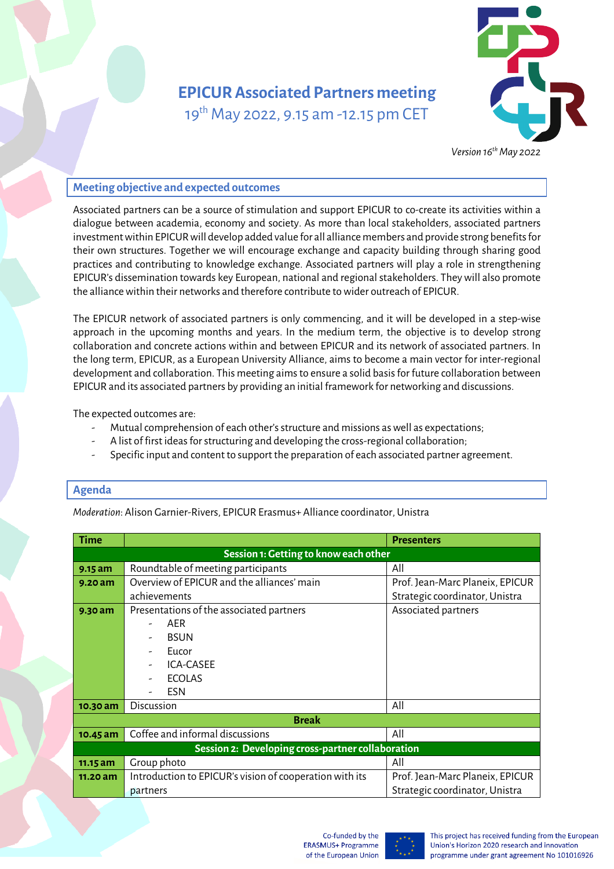# **EPICUR Associated Partners meeting**  19<sup>th</sup> May 2022, 9.15 am -12.15 pm CET



*Version 16thMay 2022*

# **Meeting objective and expected outcomes**

Associated partners can be a source of stimulation and support EPICUR to co-create its activities within a dialogue between academia, economy and society. As more than local stakeholders, associated partners investment within EPICURwill develop added value for all alliance members and provide strong benefits for their own structures. Together we will encourage exchange and capacity building through sharing good practices and contributing to knowledge exchange. Associated partners will play a role in strengthening EPICUR's dissemination towards key European, national and regional stakeholders. They will also promote the alliance within their networks and therefore contribute to wider outreach of EPICUR.

The EPICUR network of associated partners is only commencing, and it will be developed in a step-wise approach in the upcoming months and years. In the medium term, the objective is to develop strong collaboration and concrete actions within and between EPICUR and its network of associated partners. In the long term, EPICUR, as a European University Alliance, aims to become a main vector for inter-regional development and collaboration. This meeting aims to ensure a solid basis for future collaboration between EPICUR and its associated partners by providing an initial framework for networking and discussions.

The expected outcomes are:

- Mutual comprehension of each other'sstructure and missions as well as expectations;
- A list of first ideas for structuring and developing the cross-regional collaboration;
- Specific input and content to support the preparation of each associated partner agreement.

# **Agenda**

*Moderation*: Alison Garnier-Rivers, EPICUR Erasmus+ Alliance coordinator, Unistra

| <b>Time</b>                                       |                                                         | <b>Presenters</b>               |  |
|---------------------------------------------------|---------------------------------------------------------|---------------------------------|--|
| Session 1: Getting to know each other             |                                                         |                                 |  |
| 9.15 am                                           | Roundtable of meeting participants                      | All                             |  |
| $9.20$ am                                         | Overview of EPICUR and the alliances' main              | Prof. Jean-Marc Planeix, EPICUR |  |
|                                                   | achievements                                            | Strategic coordinator, Unistra  |  |
| 9.30 am                                           | Presentations of the associated partners                | Associated partners             |  |
|                                                   | AER                                                     |                                 |  |
|                                                   | <b>BSUN</b>                                             |                                 |  |
|                                                   | Eucor                                                   |                                 |  |
|                                                   | ICA-CASEE                                               |                                 |  |
|                                                   | <b>ECOLAS</b>                                           |                                 |  |
|                                                   | <b>ESN</b>                                              |                                 |  |
| 10.30 am                                          | <b>Discussion</b>                                       | All                             |  |
| <b>Break</b>                                      |                                                         |                                 |  |
| 10.45 am                                          | Coffee and informal discussions                         | All                             |  |
| Session 2: Developing cross-partner collaboration |                                                         |                                 |  |
| 11.15 am                                          | Group photo                                             | All                             |  |
| 11.20 am                                          | Introduction to EPICUR's vision of cooperation with its | Prof. Jean-Marc Planeix, EPICUR |  |
|                                                   | partners                                                | Strategic coordinator, Unistra  |  |



This project has received funding from the European Union's Horizon 2020 research and innovation programme under grant agreement No 101016926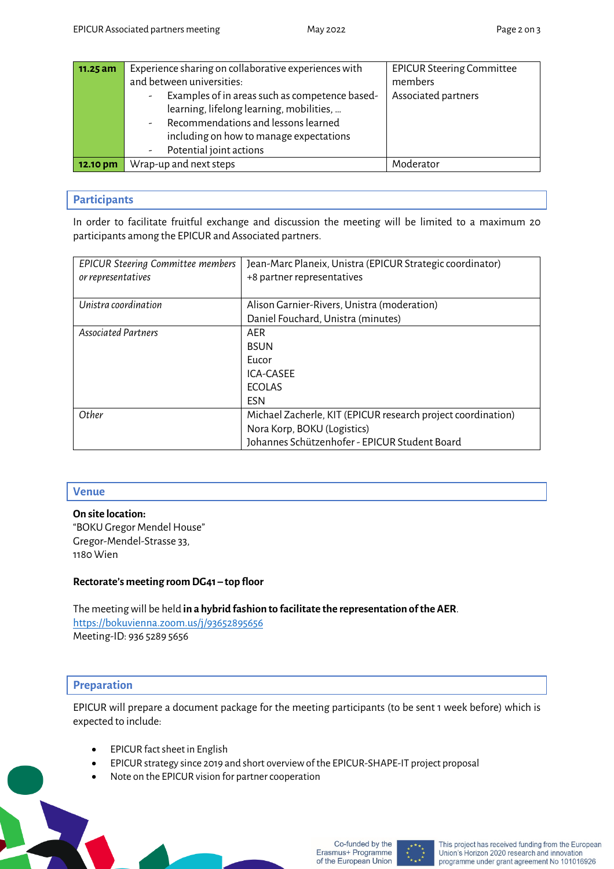| 11.25 am | Experience sharing on collaborative experiences with                       | <b>EPICUR Steering Committee</b> |
|----------|----------------------------------------------------------------------------|----------------------------------|
|          | and between universities:                                                  | members                          |
|          | Examples of in areas such as competence based-<br>$\overline{\phantom{a}}$ | Associated partners              |
|          | learning, lifelong learning, mobilities,                                   |                                  |
|          | Recommendations and lessons learned<br>$\overline{\phantom{0}}$            |                                  |
|          | including on how to manage expectations                                    |                                  |
|          | Potential joint actions<br>Ξ.                                              |                                  |
| 12.10 pm | Wrap-up and next steps                                                     | Moderator                        |

#### **Participants**

In order to facilitate fruitful exchange and discussion the meeting will be limited to a maximum 20 participants among the EPICUR and Associated partners.

| <b>EPICUR Steering Committee members</b> | Jean-Marc Planeix, Unistra (EPICUR Strategic coordinator)    |
|------------------------------------------|--------------------------------------------------------------|
|                                          |                                                              |
| or representatives                       | +8 partner representatives                                   |
|                                          |                                                              |
| Unistra coordination                     | Alison Garnier-Rivers, Unistra (moderation)                  |
|                                          | Daniel Fouchard, Unistra (minutes)                           |
| <b>Associated Partners</b>               | AER                                                          |
|                                          | <b>BSUN</b>                                                  |
|                                          | Eucor                                                        |
|                                          | ICA-CASEE                                                    |
|                                          | <b>FCOLAS</b>                                                |
|                                          | <b>FSN</b>                                                   |
| Other                                    | Michael Zacherle, KIT (EPICUR research project coordination) |
|                                          | Nora Korp, BOKU (Logistics)                                  |
|                                          | Johannes Schützenhofer - EPICUR Student Board                |

### **Venue**

**On site location:** "BOKU Gregor Mendel House" Gregor-Mendel-Strasse 33, 1180 Wien

#### **Rectorate's meeting room DG41 – top floor**

The meeting will be held **in a hybrid fashion to facilitate the representation of the AER**. https://bokuvienna.zoom.us/j/93652895656 Meeting-ID: 936 5289 5656

# **Preparation**

EPICUR will prepare a document package for the meeting participants (to be sent 1 week before) which is expected to include:

- EPICUR fact sheet in English
- EPICUR strategy since 2019 and short overview of the EPICUR-SHAPE-IT project proposal
- Note on the EPICUR vision for partner cooperation